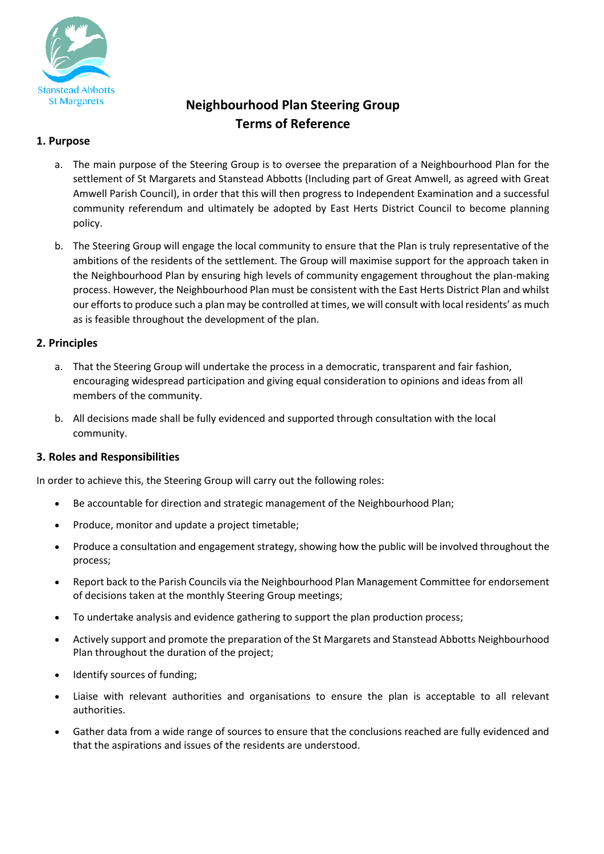

# **Neighbourhood Plan Steering Group Terms of Reference**

# **1. Purpose**

- a. The main purpose of the Steering Group is to oversee the preparation of a Neighbourhood Plan for the settlement of St Margarets and Stanstead Abbotts (Including part of Great Amwell, as agreed with Great Amwell Parish Council), in order that this will then progress to Independent Examination and a successful community referendum and ultimately be adopted by East Herts District Council to become planning policy.
- b. The Steering Group will engage the local community to ensure that the Plan is truly representative of the ambitions of the residents of the settlement. The Group will maximise support for the approach taken in the Neighbourhood Plan by ensuring high levels of community engagement throughout the plan-making process. However, the Neighbourhood Plan must be consistent with the East Herts District Plan and whilst our efforts to produce such a plan may be controlled at times, we will consult with local residents' as much as is feasible throughout the development of the plan.

## **2. Principles**

- a. That the Steering Group will undertake the process in a democratic, transparent and fair fashion, encouraging widespread participation and giving equal consideration to opinions and ideas from all members of the community.
- b. All decisions made shall be fully evidenced and supported through consultation with the local community.

#### **3. Roles and Responsibilities**

In order to achieve this, the Steering Group will carry out the following roles:

- Be accountable for direction and strategic management of the Neighbourhood Plan;
- Produce, monitor and update a project timetable;
- Produce a consultation and engagement strategy, showing how the public will be involved throughout the process;
- Report back to the Parish Councils via the Neighbourhood Plan Management Committee for endorsement of decisions taken at the monthly Steering Group meetings;
- To undertake analysis and evidence gathering to support the plan production process;
- Actively support and promote the preparation of the St Margarets and Stanstead Abbotts Neighbourhood Plan throughout the duration of the project;
- Identify sources of funding;
- Liaise with relevant authorities and organisations to ensure the plan is acceptable to all relevant authorities.
- Gather data from a wide range of sources to ensure that the conclusions reached are fully evidenced and that the aspirations and issues of the residents are understood.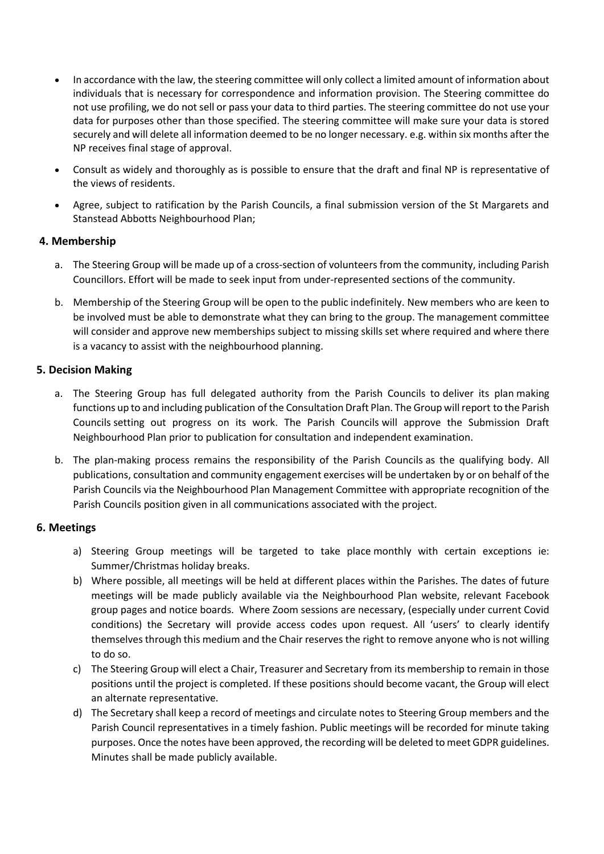- In accordance with the law, the steering committee will only collect a limited amount of information about individuals that is necessary for correspondence and information provision. The Steering committee do not use profiling, we do not sell or pass your data to third parties. The steering committee do not use your data for purposes other than those specified. The steering committee will make sure your data is stored securely and will delete all information deemed to be no longer necessary. e.g. within six months after the NP receives final stage of approval.
- Consult as widely and thoroughly as is possible to ensure that the draft and final NP is representative of the views of residents.
- Agree, subject to ratification by the Parish Councils, a final submission version of the St Margarets and Stanstead Abbotts Neighbourhood Plan;

#### **4. Membership**

- a. The Steering Group will be made up of a cross-section of volunteers from the community, including Parish Councillors. Effort will be made to seek input from under-represented sections of the community.
- b. Membership of the Steering Group will be open to the public indefinitely. New members who are keen to be involved must be able to demonstrate what they can bring to the group. The management committee will consider and approve new memberships subject to missing skills set where required and where there is a vacancy to assist with the neighbourhood planning.

# **5. Decision Making**

- a. The Steering Group has full delegated authority from the Parish Councils to deliver its plan making functions up to and including publication of the Consultation Draft Plan. The Group will report to the Parish Councils setting out progress on its work. The Parish Councils will approve the Submission Draft Neighbourhood Plan prior to publication for consultation and independent examination.
- b. The plan-making process remains the responsibility of the Parish Councils as the qualifying body. All publications, consultation and community engagement exercises will be undertaken by or on behalf of the Parish Councils via the Neighbourhood Plan Management Committee with appropriate recognition of the Parish Councils position given in all communications associated with the project.

#### **6. Meetings**

- a) Steering Group meetings will be targeted to take place monthly with certain exceptions ie: Summer/Christmas holiday breaks.
- b) Where possible, all meetings will be held at different places within the Parishes. The dates of future meetings will be made publicly available via the Neighbourhood Plan website, relevant Facebook group pages and notice boards. Where Zoom sessions are necessary, (especially under current Covid conditions) the Secretary will provide access codes upon request. All 'users' to clearly identify themselves through this medium and the Chair reserves the right to remove anyone who is not willing to do so.
- c) The Steering Group will elect a Chair, Treasurer and Secretary from its membership to remain in those positions until the project is completed. If these positions should become vacant, the Group will elect an alternate representative.
- d) The Secretary shall keep a record of meetings and circulate notes to Steering Group members and the Parish Council representatives in a timely fashion. Public meetings will be recorded for minute taking purposes. Once the notes have been approved, the recording will be deleted to meet GDPR guidelines. Minutes shall be made publicly available.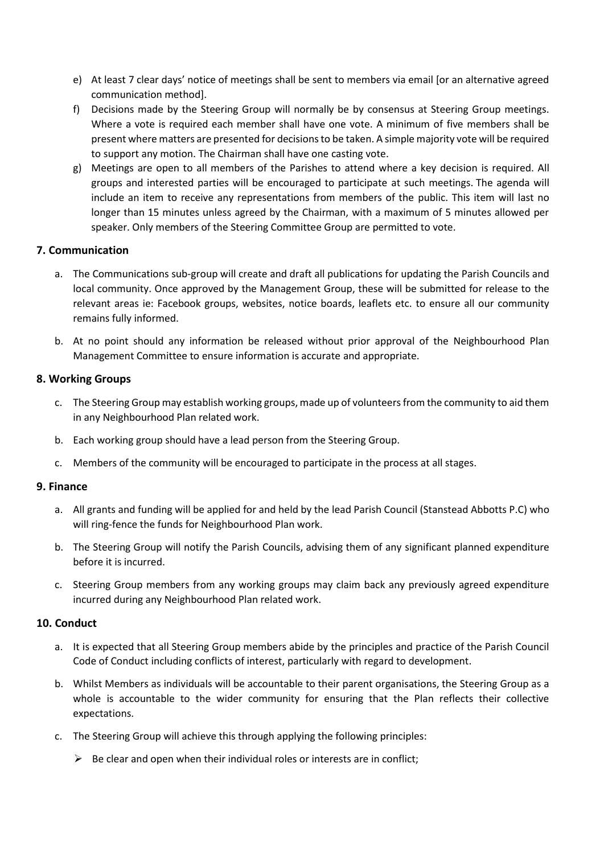- e) At least 7 clear days' notice of meetings shall be sent to members via email [or an alternative agreed communication method].
- f) Decisions made by the Steering Group will normally be by consensus at Steering Group meetings. Where a vote is required each member shall have one vote. A minimum of five members shall be present where matters are presented for decisions to be taken. A simple majority vote will be required to support any motion. The Chairman shall have one casting vote.
- g) Meetings are open to all members of the Parishes to attend where a key decision is required. All groups and interested parties will be encouraged to participate at such meetings. The agenda will include an item to receive any representations from members of the public. This item will last no longer than 15 minutes unless agreed by the Chairman, with a maximum of 5 minutes allowed per speaker. Only members of the Steering Committee Group are permitted to vote.

#### **7. Communication**

- a. The Communications sub-group will create and draft all publications for updating the Parish Councils and local community. Once approved by the Management Group, these will be submitted for release to the relevant areas ie: Facebook groups, websites, notice boards, leaflets etc. to ensure all our community remains fully informed.
- b. At no point should any information be released without prior approval of the Neighbourhood Plan Management Committee to ensure information is accurate and appropriate.

#### **8. Working Groups**

- c. The Steering Group may establish working groups, made up of volunteers from the community to aid them in any Neighbourhood Plan related work.
- b. Each working group should have a lead person from the Steering Group.
- c. Members of the community will be encouraged to participate in the process at all stages.

#### **9. Finance**

- a. All grants and funding will be applied for and held by the lead Parish Council (Stanstead Abbotts P.C) who will ring-fence the funds for Neighbourhood Plan work.
- b. The Steering Group will notify the Parish Councils, advising them of any significant planned expenditure before it is incurred.
- c. Steering Group members from any working groups may claim back any previously agreed expenditure incurred during any Neighbourhood Plan related work.

#### **10. Conduct**

- a. It is expected that all Steering Group members abide by the principles and practice of the Parish Council Code of Conduct including conflicts of interest, particularly with regard to development.
- b. Whilst Members as individuals will be accountable to their parent organisations, the Steering Group as a whole is accountable to the wider community for ensuring that the Plan reflects their collective expectations.
- c. The Steering Group will achieve this through applying the following principles:
	- $\triangleright$  Be clear and open when their individual roles or interests are in conflict;